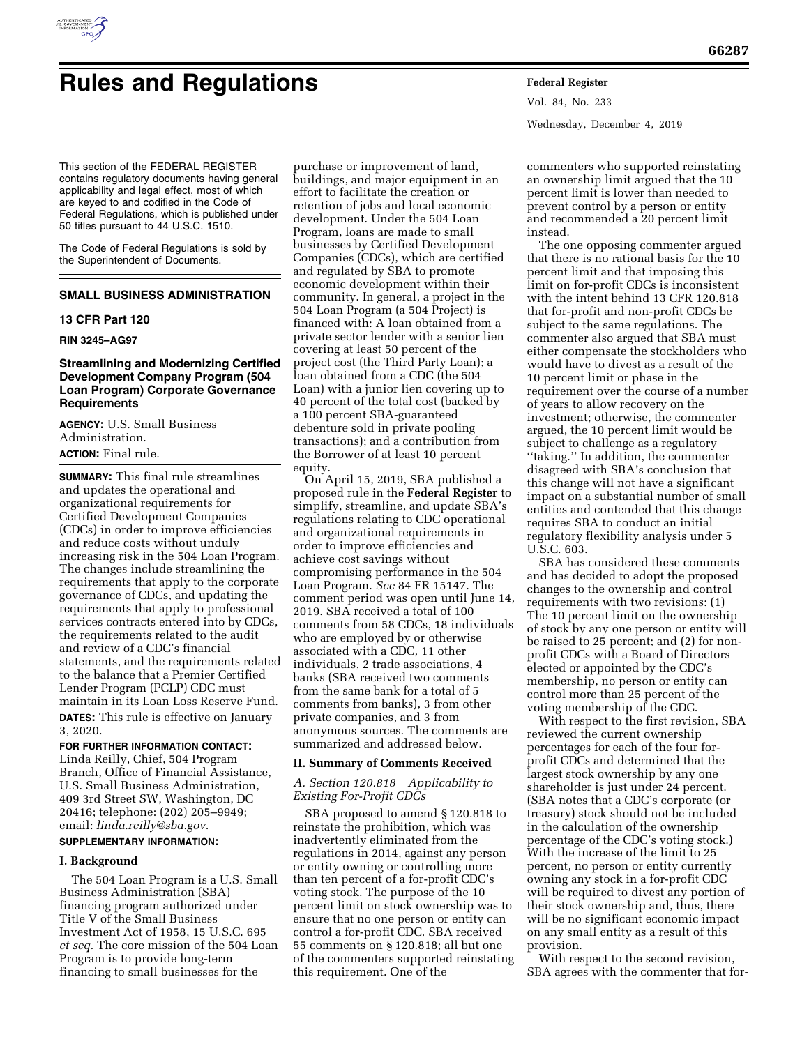

# **Rules and Regulations Federal Register**

This section of the FEDERAL REGISTER contains regulatory documents having general applicability and legal effect, most of which are keyed to and codified in the Code of Federal Regulations, which is published under 50 titles pursuant to 44 U.S.C. 1510.

The Code of Federal Regulations is sold by the Superintendent of Documents.

# **SMALL BUSINESS ADMINISTRATION**

#### **13 CFR Part 120**

#### **RIN 3245–AG97**

#### **Streamlining and Modernizing Certified Development Company Program (504 Loan Program) Corporate Governance Requirements**

**AGENCY:** U.S. Small Business Administration. **ACTION:** Final rule.

**SUMMARY:** This final rule streamlines and updates the operational and organizational requirements for Certified Development Companies (CDCs) in order to improve efficiencies and reduce costs without unduly increasing risk in the 504 Loan Program. The changes include streamlining the requirements that apply to the corporate governance of CDCs, and updating the requirements that apply to professional services contracts entered into by CDCs, the requirements related to the audit and review of a CDC's financial statements, and the requirements related to the balance that a Premier Certified Lender Program (PCLP) CDC must maintain in its Loan Loss Reserve Fund. **DATES:** This rule is effective on January 3, 2020.

#### **FOR FURTHER INFORMATION CONTACT:**

Linda Reilly, Chief, 504 Program Branch, Office of Financial Assistance, U.S. Small Business Administration, 409 3rd Street SW, Washington, DC 20416; telephone: (202) 205–9949; email: *[linda.reilly@sba.gov](mailto:linda.reilly@sba.gov)*.

# **SUPPLEMENTARY INFORMATION:**

#### **I. Background**

The 504 Loan Program is a U.S. Small Business Administration (SBA) financing program authorized under Title V of the Small Business Investment Act of 1958, 15 U.S.C. 695 *et seq.* The core mission of the 504 Loan Program is to provide long-term financing to small businesses for the

purchase or improvement of land, buildings, and major equipment in an effort to facilitate the creation or retention of jobs and local economic development. Under the 504 Loan Program, loans are made to small businesses by Certified Development Companies (CDCs), which are certified and regulated by SBA to promote economic development within their community. In general, a project in the 504 Loan Program (a 504 Project) is financed with: A loan obtained from a private sector lender with a senior lien covering at least 50 percent of the project cost (the Third Party Loan); a loan obtained from a CDC (the 504 Loan) with a junior lien covering up to 40 percent of the total cost (backed by a 100 percent SBA-guaranteed debenture sold in private pooling transactions); and a contribution from the Borrower of at least 10 percent equity.

On April 15, 2019, SBA published a proposed rule in the **Federal Register** to simplify, streamline, and update SBA's regulations relating to CDC operational and organizational requirements in order to improve efficiencies and achieve cost savings without compromising performance in the 504 Loan Program. *See* 84 FR 15147. The comment period was open until June 14, 2019. SBA received a total of 100 comments from 58 CDCs, 18 individuals who are employed by or otherwise associated with a CDC, 11 other individuals, 2 trade associations, 4 banks (SBA received two comments from the same bank for a total of 5 comments from banks), 3 from other private companies, and 3 from anonymous sources. The comments are summarized and addressed below.

#### **II. Summary of Comments Received**

#### *A. Section 120.818 Applicability to Existing For-Profit CDCs*

SBA proposed to amend § 120.818 to reinstate the prohibition, which was inadvertently eliminated from the regulations in 2014, against any person or entity owning or controlling more than ten percent of a for-profit CDC's voting stock. The purpose of the 10 percent limit on stock ownership was to ensure that no one person or entity can control a for-profit CDC. SBA received 55 comments on § 120.818; all but one of the commenters supported reinstating this requirement. One of the

Vol. 84, No. 233 Wednesday, December 4, 2019

commenters who supported reinstating an ownership limit argued that the 10 percent limit is lower than needed to prevent control by a person or entity and recommended a 20 percent limit instead.

The one opposing commenter argued that there is no rational basis for the 10 percent limit and that imposing this limit on for-profit CDCs is inconsistent with the intent behind 13 CFR 120.818 that for-profit and non-profit CDCs be subject to the same regulations. The commenter also argued that SBA must either compensate the stockholders who would have to divest as a result of the 10 percent limit or phase in the requirement over the course of a number of years to allow recovery on the investment; otherwise, the commenter argued, the 10 percent limit would be subject to challenge as a regulatory ''taking.'' In addition, the commenter disagreed with SBA's conclusion that this change will not have a significant impact on a substantial number of small entities and contended that this change requires SBA to conduct an initial regulatory flexibility analysis under 5 U.S.C. 603.

SBA has considered these comments and has decided to adopt the proposed changes to the ownership and control requirements with two revisions: (1) The 10 percent limit on the ownership of stock by any one person or entity will be raised to 25 percent; and (2) for nonprofit CDCs with a Board of Directors elected or appointed by the CDC's membership, no person or entity can control more than 25 percent of the voting membership of the CDC.

With respect to the first revision, SBA reviewed the current ownership percentages for each of the four forprofit CDCs and determined that the largest stock ownership by any one shareholder is just under 24 percent. (SBA notes that a CDC's corporate (or treasury) stock should not be included in the calculation of the ownership percentage of the CDC's voting stock.) With the increase of the limit to 25 percent, no person or entity currently owning any stock in a for-profit CDC will be required to divest any portion of their stock ownership and, thus, there will be no significant economic impact on any small entity as a result of this provision.

With respect to the second revision, SBA agrees with the commenter that for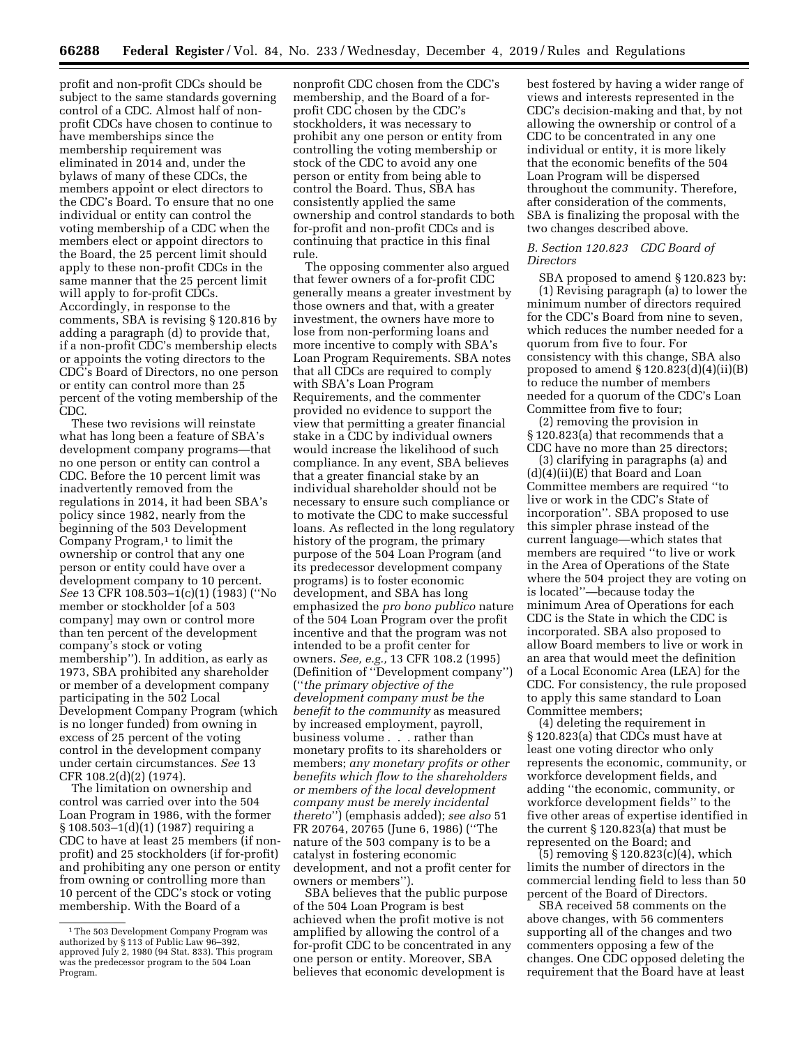profit and non-profit CDCs should be subject to the same standards governing control of a CDC. Almost half of nonprofit CDCs have chosen to continue to have memberships since the membership requirement was eliminated in 2014 and, under the bylaws of many of these CDCs, the members appoint or elect directors to the CDC's Board. To ensure that no one individual or entity can control the voting membership of a CDC when the members elect or appoint directors to the Board, the 25 percent limit should apply to these non-profit CDCs in the same manner that the 25 percent limit will apply to for-profit CDCs. Accordingly, in response to the comments, SBA is revising § 120.816 by adding a paragraph (d) to provide that, if a non-profit CDC's membership elects or appoints the voting directors to the CDC's Board of Directors, no one person or entity can control more than 25 percent of the voting membership of the CDC.

These two revisions will reinstate what has long been a feature of SBA's development company programs—that no one person or entity can control a CDC. Before the 10 percent limit was inadvertently removed from the regulations in 2014, it had been SBA's policy since 1982, nearly from the beginning of the 503 Development Company Program,<sup>1</sup> to limit the ownership or control that any one person or entity could have over a development company to 10 percent. *See* 13 CFR 108.503-1(c)(1) (1983) ("No member or stockholder [of a 503 company] may own or control more than ten percent of the development company's stock or voting membership''). In addition, as early as 1973, SBA prohibited any shareholder or member of a development company participating in the 502 Local Development Company Program (which is no longer funded) from owning in excess of 25 percent of the voting control in the development company under certain circumstances. *See* 13 CFR 108.2(d)(2) (1974).

The limitation on ownership and control was carried over into the 504 Loan Program in 1986, with the former § 108.503–1(d)(1) (1987) requiring a CDC to have at least 25 members (if nonprofit) and 25 stockholders (if for-profit) and prohibiting any one person or entity from owning or controlling more than 10 percent of the CDC's stock or voting membership. With the Board of a

nonprofit CDC chosen from the CDC's membership, and the Board of a forprofit CDC chosen by the CDC's stockholders, it was necessary to prohibit any one person or entity from controlling the voting membership or stock of the CDC to avoid any one person or entity from being able to control the Board. Thus, SBA has consistently applied the same ownership and control standards to both for-profit and non-profit CDCs and is continuing that practice in this final rule.

The opposing commenter also argued that fewer owners of a for-profit CDC generally means a greater investment by those owners and that, with a greater investment, the owners have more to lose from non-performing loans and more incentive to comply with SBA's Loan Program Requirements. SBA notes that all CDCs are required to comply with SBA's Loan Program Requirements, and the commenter provided no evidence to support the view that permitting a greater financial stake in a CDC by individual owners would increase the likelihood of such compliance. In any event, SBA believes that a greater financial stake by an individual shareholder should not be necessary to ensure such compliance or to motivate the CDC to make successful loans. As reflected in the long regulatory history of the program, the primary purpose of the 504 Loan Program (and its predecessor development company programs) is to foster economic development, and SBA has long emphasized the *pro bono publico* nature of the 504 Loan Program over the profit incentive and that the program was not intended to be a profit center for owners. *See, e.g.,* 13 CFR 108.2 (1995) (Definition of ''Development company'') (''*the primary objective of the development company must be the benefit to the community* as measured by increased employment, payroll, business volume . . . rather than monetary profits to its shareholders or members; *any monetary profits or other benefits which flow to the shareholders or members of the local development company must be merely incidental thereto*'') (emphasis added); *see also* 51 FR 20764, 20765 (June 6, 1986) (''The nature of the 503 company is to be a catalyst in fostering economic development, and not a profit center for owners or members'').

SBA believes that the public purpose of the 504 Loan Program is best achieved when the profit motive is not amplified by allowing the control of a for-profit CDC to be concentrated in any one person or entity. Moreover, SBA believes that economic development is

best fostered by having a wider range of views and interests represented in the CDC's decision-making and that, by not allowing the ownership or control of a CDC to be concentrated in any one individual or entity, it is more likely that the economic benefits of the 504 Loan Program will be dispersed throughout the community. Therefore, after consideration of the comments, SBA is finalizing the proposal with the two changes described above.

#### *B. Section 120.823 CDC Board of Directors*

SBA proposed to amend § 120.823 by: (1) Revising paragraph (a) to lower the minimum number of directors required for the CDC's Board from nine to seven, which reduces the number needed for a quorum from five to four. For consistency with this change, SBA also proposed to amend  $\S 120.823(d)(4)(ii)(B)$ to reduce the number of members needed for a quorum of the CDC's Loan Committee from five to four;

(2) removing the provision in § 120.823(a) that recommends that a CDC have no more than 25 directors;

(3) clarifying in paragraphs (a) and (d)(4)(ii)(E) that Board and Loan Committee members are required ''to live or work in the CDC's State of incorporation''. SBA proposed to use this simpler phrase instead of the current language—which states that members are required ''to live or work in the Area of Operations of the State where the 504 project they are voting on is located''—because today the minimum Area of Operations for each CDC is the State in which the CDC is incorporated. SBA also proposed to allow Board members to live or work in an area that would meet the definition of a Local Economic Area (LEA) for the CDC. For consistency, the rule proposed to apply this same standard to Loan Committee members;

(4) deleting the requirement in § 120.823(a) that CDCs must have at least one voting director who only represents the economic, community, or workforce development fields, and adding ''the economic, community, or workforce development fields'' to the five other areas of expertise identified in the current § 120.823(a) that must be represented on the Board; and

(5) removing § 120.823(c)(4), which limits the number of directors in the commercial lending field to less than 50 percent of the Board of Directors.

SBA received 58 comments on the above changes, with 56 commenters supporting all of the changes and two commenters opposing a few of the changes. One CDC opposed deleting the requirement that the Board have at least

<sup>&</sup>lt;sup>1</sup>The 503 Development Company Program was authorized by § 113 of Public Law 96–392, approved July 2, 1980 (94 Stat. 833). This program was the predecessor program to the 504 Loan Program.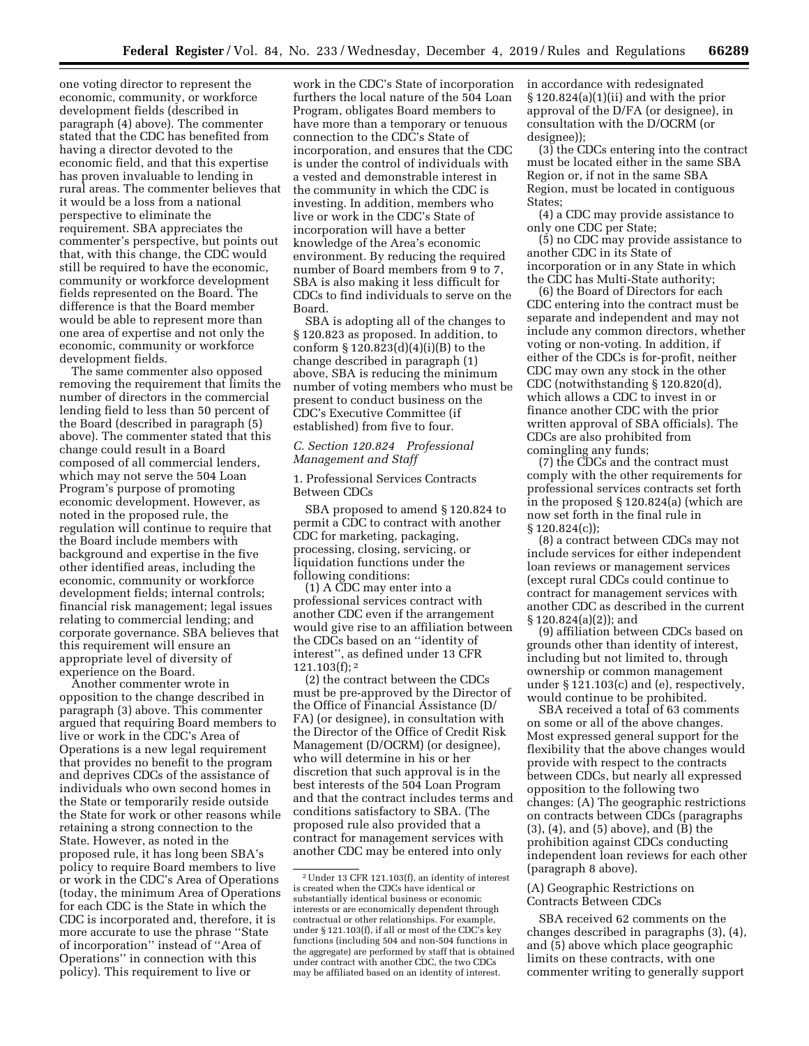one voting director to represent the economic, community, or workforce development fields (described in paragraph (4) above). The commenter stated that the CDC has benefited from having a director devoted to the economic field, and that this expertise has proven invaluable to lending in rural areas. The commenter believes that it would be a loss from a national perspective to eliminate the requirement. SBA appreciates the commenter's perspective, but points out that, with this change, the CDC would still be required to have the economic, community or workforce development fields represented on the Board. The difference is that the Board member would be able to represent more than one area of expertise and not only the economic, community or workforce development fields.

The same commenter also opposed removing the requirement that limits the number of directors in the commercial lending field to less than 50 percent of the Board (described in paragraph (5) above). The commenter stated that this change could result in a Board composed of all commercial lenders, which may not serve the 504 Loan Program's purpose of promoting economic development. However, as noted in the proposed rule, the regulation will continue to require that the Board include members with background and expertise in the five other identified areas, including the economic, community or workforce development fields; internal controls; financial risk management; legal issues relating to commercial lending; and corporate governance. SBA believes that this requirement will ensure an appropriate level of diversity of experience on the Board.

Another commenter wrote in opposition to the change described in paragraph (3) above. This commenter argued that requiring Board members to live or work in the CDC's Area of Operations is a new legal requirement that provides no benefit to the program and deprives CDCs of the assistance of individuals who own second homes in the State or temporarily reside outside the State for work or other reasons while retaining a strong connection to the State. However, as noted in the proposed rule, it has long been SBA's policy to require Board members to live or work in the CDC's Area of Operations (today, the minimum Area of Operations for each CDC is the State in which the CDC is incorporated and, therefore, it is more accurate to use the phrase ''State of incorporation'' instead of ''Area of Operations'' in connection with this policy). This requirement to live or

work in the CDC's State of incorporation furthers the local nature of the 504 Loan Program, obligates Board members to have more than a temporary or tenuous connection to the CDC's State of incorporation, and ensures that the CDC is under the control of individuals with a vested and demonstrable interest in the community in which the CDC is investing. In addition, members who live or work in the CDC's State of incorporation will have a better knowledge of the Area's economic environment. By reducing the required number of Board members from 9 to 7, SBA is also making it less difficult for CDCs to find individuals to serve on the Board.

SBA is adopting all of the changes to § 120.823 as proposed. In addition, to conform § 120.823(d)(4)(i)(B) to the change described in paragraph (1) above, SBA is reducing the minimum number of voting members who must be present to conduct business on the CDC's Executive Committee (if established) from five to four.

### *C. Section 120.824 Professional Management and Staff*

1. Professional Services Contracts Between CDCs

SBA proposed to amend § 120.824 to permit a CDC to contract with another CDC for marketing, packaging, processing, closing, servicing, or liquidation functions under the following conditions:

(1) A CDC may enter into a professional services contract with another CDC even if the arrangement would give rise to an affiliation between the CDCs based on an ''identity of interest'', as defined under 13 CFR  $121.103(f);$ <sup>2</sup>

(2) the contract between the CDCs must be pre-approved by the Director of the Office of Financial Assistance (D/ FA) (or designee), in consultation with the Director of the Office of Credit Risk Management (D/OCRM) (or designee), who will determine in his or her discretion that such approval is in the best interests of the 504 Loan Program and that the contract includes terms and conditions satisfactory to SBA. (The proposed rule also provided that a contract for management services with another CDC may be entered into only

in accordance with redesignated § 120.824(a)(1)(ii) and with the prior approval of the D/FA (or designee), in consultation with the D/OCRM (or designee));

 $(3)$  the CDCs entering into the contract must be located either in the same SBA Region or, if not in the same SBA Region, must be located in contiguous States;

(4) a CDC may provide assistance to only one CDC per State;

(5) no CDC may provide assistance to another CDC in its State of incorporation or in any State in which

the CDC has Multi-State authority; (6) the Board of Directors for each CDC entering into the contract must be separate and independent and may not include any common directors, whether voting or non-voting. In addition, if either of the CDCs is for-profit, neither CDC may own any stock in the other CDC (notwithstanding § 120.820(d), which allows a CDC to invest in or finance another CDC with the prior written approval of SBA officials). The CDCs are also prohibited from comingling any funds;

(7) the CDCs and the contract must comply with the other requirements for professional services contracts set forth in the proposed § 120.824(a) (which are now set forth in the final rule in § 120.824(c));

(8) a contract between CDCs may not include services for either independent loan reviews or management services (except rural CDCs could continue to contract for management services with another CDC as described in the current § 120.824(a)(2)); and

(9) affiliation between CDCs based on grounds other than identity of interest, including but not limited to, through ownership or common management under § 121.103(c) and (e), respectively, would continue to be prohibited.

SBA received a total of 63 comments on some or all of the above changes. Most expressed general support for the flexibility that the above changes would provide with respect to the contracts between CDCs, but nearly all expressed opposition to the following two changes: (A) The geographic restrictions on contracts between CDCs (paragraphs (3), (4), and (5) above), and (B) the prohibition against CDCs conducting independent loan reviews for each other (paragraph 8 above).

#### (A) Geographic Restrictions on Contracts Between CDCs

SBA received 62 comments on the changes described in paragraphs (3), (4), and (5) above which place geographic limits on these contracts, with one commenter writing to generally support

<sup>2</sup>Under 13 CFR 121.103(f), an identity of interest is created when the CDCs have identical or substantially identical business or economic interests or are economically dependent through contractual or other relationships. For example, under § 121.103(f), if all or most of the CDC's key functions (including 504 and non-504 functions in the aggregate) are performed by staff that is obtained under contract with another CDC, the two CDCs may be affiliated based on an identity of interest.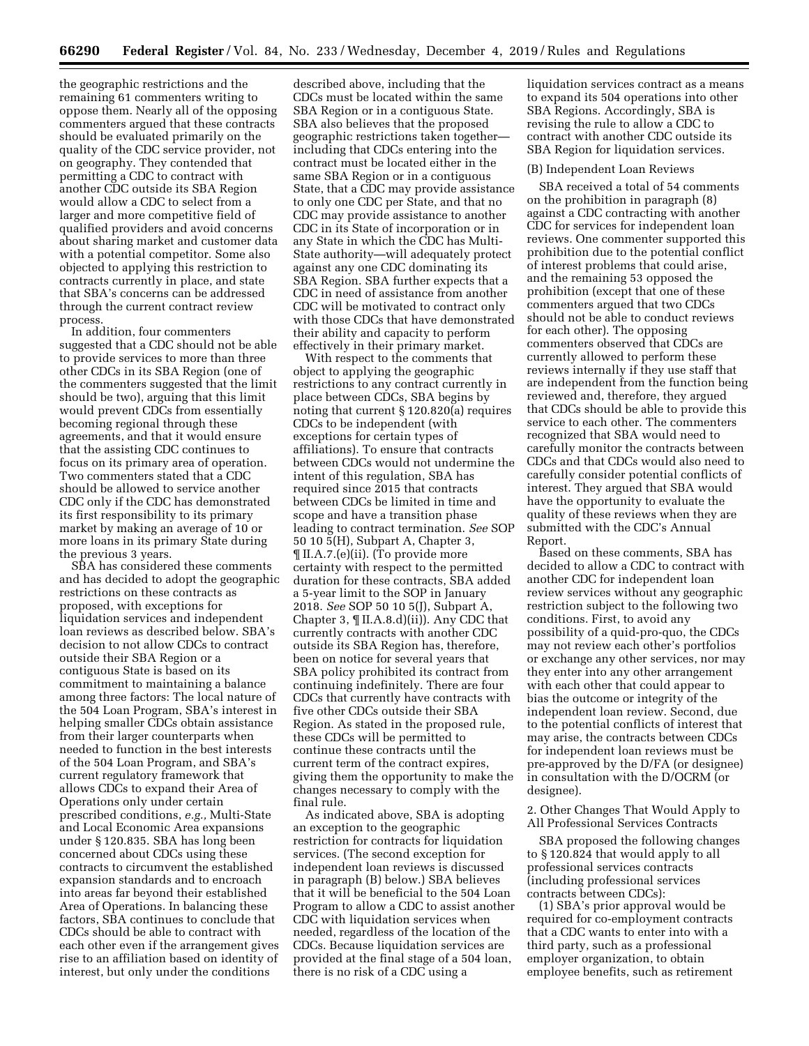the geographic restrictions and the remaining 61 commenters writing to oppose them. Nearly all of the opposing commenters argued that these contracts should be evaluated primarily on the quality of the CDC service provider, not on geography. They contended that permitting a CDC to contract with another CDC outside its SBA Region would allow a CDC to select from a larger and more competitive field of qualified providers and avoid concerns about sharing market and customer data with a potential competitor. Some also objected to applying this restriction to contracts currently in place, and state that SBA's concerns can be addressed through the current contract review process.

In addition, four commenters suggested that a CDC should not be able to provide services to more than three other CDCs in its SBA Region (one of the commenters suggested that the limit should be two), arguing that this limit would prevent CDCs from essentially becoming regional through these agreements, and that it would ensure that the assisting CDC continues to focus on its primary area of operation. Two commenters stated that a CDC should be allowed to service another CDC only if the CDC has demonstrated its first responsibility to its primary market by making an average of 10 or more loans in its primary State during the previous 3 years.

SBA has considered these comments and has decided to adopt the geographic restrictions on these contracts as proposed, with exceptions for liquidation services and independent loan reviews as described below. SBA's decision to not allow CDCs to contract outside their SBA Region or a contiguous State is based on its commitment to maintaining a balance among three factors: The local nature of the 504 Loan Program, SBA's interest in helping smaller CDCs obtain assistance from their larger counterparts when needed to function in the best interests of the 504 Loan Program, and SBA's current regulatory framework that allows CDCs to expand their Area of Operations only under certain prescribed conditions, *e.g.,* Multi-State and Local Economic Area expansions under § 120.835. SBA has long been concerned about CDCs using these contracts to circumvent the established expansion standards and to encroach into areas far beyond their established Area of Operations. In balancing these factors, SBA continues to conclude that CDCs should be able to contract with each other even if the arrangement gives rise to an affiliation based on identity of interest, but only under the conditions

described above, including that the CDCs must be located within the same SBA Region or in a contiguous State. SBA also believes that the proposed geographic restrictions taken together including that CDCs entering into the contract must be located either in the same SBA Region or in a contiguous State, that a CDC may provide assistance to only one CDC per State, and that no CDC may provide assistance to another CDC in its State of incorporation or in any State in which the CDC has Multi-State authority—will adequately protect against any one CDC dominating its SBA Region. SBA further expects that a CDC in need of assistance from another CDC will be motivated to contract only with those CDCs that have demonstrated their ability and capacity to perform effectively in their primary market.

With respect to the comments that object to applying the geographic restrictions to any contract currently in place between CDCs, SBA begins by noting that current § 120.820(a) requires CDCs to be independent (with exceptions for certain types of affiliations). To ensure that contracts between CDCs would not undermine the intent of this regulation, SBA has required since 2015 that contracts between CDCs be limited in time and scope and have a transition phase leading to contract termination. *See* SOP 50 10 5(H), Subpart A, Chapter 3, ¶ II.A.7.(e)(ii). (To provide more certainty with respect to the permitted duration for these contracts, SBA added a 5-year limit to the SOP in January 2018. *See* SOP 50 10 5(J), Subpart A, Chapter 3,  $\P$  II.A.8.d)(ii)). Any CDC that currently contracts with another CDC outside its SBA Region has, therefore, been on notice for several years that SBA policy prohibited its contract from continuing indefinitely. There are four CDCs that currently have contracts with five other CDCs outside their SBA Region. As stated in the proposed rule, these CDCs will be permitted to continue these contracts until the current term of the contract expires, giving them the opportunity to make the changes necessary to comply with the final rule.

As indicated above, SBA is adopting an exception to the geographic restriction for contracts for liquidation services. (The second exception for independent loan reviews is discussed in paragraph (B) below.) SBA believes that it will be beneficial to the 504 Loan Program to allow a CDC to assist another CDC with liquidation services when needed, regardless of the location of the CDCs. Because liquidation services are provided at the final stage of a 504 loan, there is no risk of a CDC using a

liquidation services contract as a means to expand its 504 operations into other SBA Regions. Accordingly, SBA is revising the rule to allow a CDC to contract with another CDC outside its SBA Region for liquidation services.

#### (B) Independent Loan Reviews

SBA received a total of 54 comments on the prohibition in paragraph (8) against a CDC contracting with another CDC for services for independent loan reviews. One commenter supported this prohibition due to the potential conflict of interest problems that could arise, and the remaining 53 opposed the prohibition (except that one of these commenters argued that two CDCs should not be able to conduct reviews for each other). The opposing commenters observed that CDCs are currently allowed to perform these reviews internally if they use staff that are independent from the function being reviewed and, therefore, they argued that CDCs should be able to provide this service to each other. The commenters recognized that SBA would need to carefully monitor the contracts between CDCs and that CDCs would also need to carefully consider potential conflicts of interest. They argued that SBA would have the opportunity to evaluate the quality of these reviews when they are submitted with the CDC's Annual Report.

Based on these comments, SBA has decided to allow a CDC to contract with another CDC for independent loan review services without any geographic restriction subject to the following two conditions. First, to avoid any possibility of a quid-pro-quo, the CDCs may not review each other's portfolios or exchange any other services, nor may they enter into any other arrangement with each other that could appear to bias the outcome or integrity of the independent loan review. Second, due to the potential conflicts of interest that may arise, the contracts between CDCs for independent loan reviews must be pre-approved by the D/FA (or designee) in consultation with the D/OCRM (or designee).

2. Other Changes That Would Apply to All Professional Services Contracts

SBA proposed the following changes to § 120.824 that would apply to all professional services contracts (including professional services contracts between CDCs):

(1) SBA's prior approval would be required for co-employment contracts that a CDC wants to enter into with a third party, such as a professional employer organization, to obtain employee benefits, such as retirement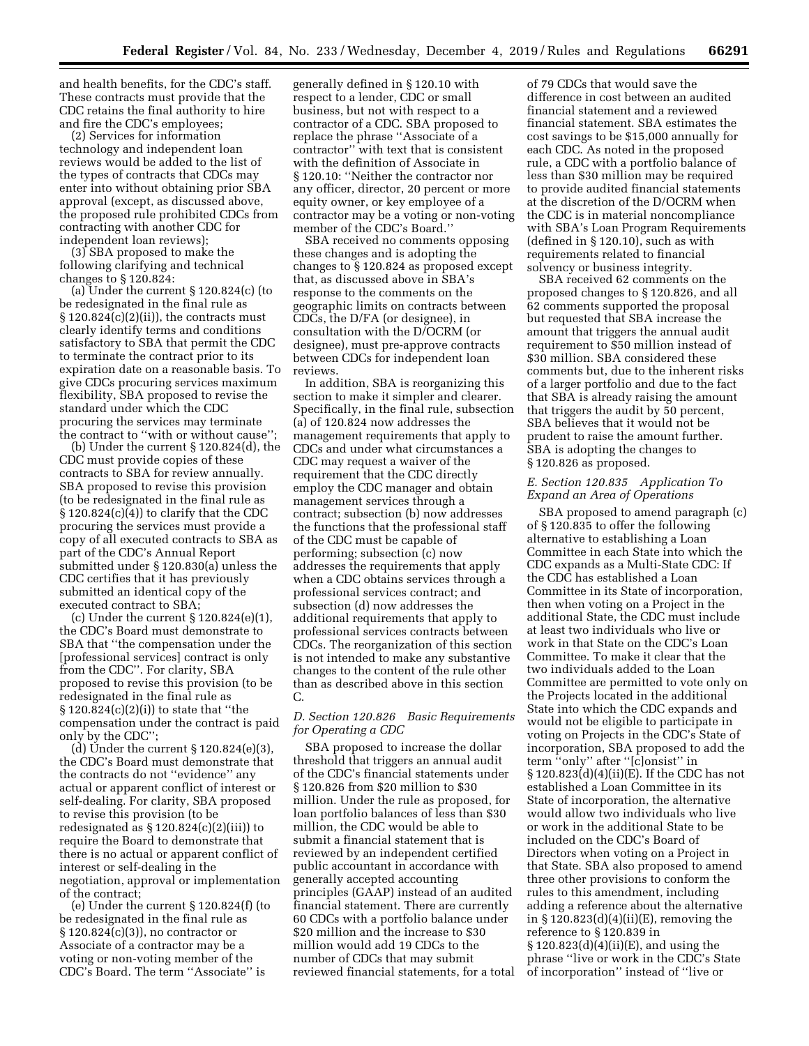and health benefits, for the CDC's staff. These contracts must provide that the CDC retains the final authority to hire and fire the CDC's employees;

(2) Services for information technology and independent loan reviews would be added to the list of the types of contracts that CDCs may enter into without obtaining prior SBA approval (except, as discussed above, the proposed rule prohibited CDCs from contracting with another CDC for independent loan reviews);

(3) SBA proposed to make the following clarifying and technical changes to § 120.824:

(a) Under the current § 120.824(c) (to be redesignated in the final rule as  $\S 120.824(c)(2)(ii)$ , the contracts must clearly identify terms and conditions satisfactory to SBA that permit the CDC to terminate the contract prior to its expiration date on a reasonable basis. To give CDCs procuring services maximum flexibility, SBA proposed to revise the standard under which the CDC procuring the services may terminate the contract to ''with or without cause'';

(b) Under the current § 120.824(d), the CDC must provide copies of these contracts to SBA for review annually. SBA proposed to revise this provision (to be redesignated in the final rule as § 120.824(c)(4)) to clarify that the CDC procuring the services must provide a copy of all executed contracts to SBA as part of the CDC's Annual Report submitted under § 120.830(a) unless the CDC certifies that it has previously submitted an identical copy of the executed contract to SBA;

(c) Under the current § 120.824(e)(1), the CDC's Board must demonstrate to SBA that ''the compensation under the [professional services] contract is only from the CDC''. For clarity, SBA proposed to revise this provision (to be redesignated in the final rule as § 120.824(c)(2)(i)) to state that ''the compensation under the contract is paid only by the CDC'';

(d) Under the current § 120.824(e)(3), the CDC's Board must demonstrate that the contracts do not ''evidence'' any actual or apparent conflict of interest or self-dealing. For clarity, SBA proposed to revise this provision (to be redesignated as § 120.824(c)(2)(iii)) to require the Board to demonstrate that there is no actual or apparent conflict of interest or self-dealing in the negotiation, approval or implementation of the contract;

(e) Under the current § 120.824(f) (to be redesignated in the final rule as § 120.824(c)(3)), no contractor or Associate of a contractor may be a voting or non-voting member of the CDC's Board. The term ''Associate'' is

generally defined in § 120.10 with respect to a lender, CDC or small business, but not with respect to a contractor of a CDC. SBA proposed to replace the phrase ''Associate of a contractor'' with text that is consistent with the definition of Associate in § 120.10: ''Neither the contractor nor any officer, director, 20 percent or more equity owner, or key employee of a contractor may be a voting or non-voting member of the CDC's Board.''

SBA received no comments opposing these changes and is adopting the changes to § 120.824 as proposed except that, as discussed above in SBA's response to the comments on the geographic limits on contracts between CDCs, the D/FA (or designee), in consultation with the D/OCRM (or designee), must pre-approve contracts between CDCs for independent loan reviews.

In addition, SBA is reorganizing this section to make it simpler and clearer. Specifically, in the final rule, subsection (a) of 120.824 now addresses the management requirements that apply to CDCs and under what circumstances a CDC may request a waiver of the requirement that the CDC directly employ the CDC manager and obtain management services through a contract; subsection (b) now addresses the functions that the professional staff of the CDC must be capable of performing; subsection (c) now addresses the requirements that apply when a CDC obtains services through a professional services contract; and subsection (d) now addresses the additional requirements that apply to professional services contracts between CDCs. The reorganization of this section is not intended to make any substantive changes to the content of the rule other than as described above in this section C.

# *D. Section 120.826 Basic Requirements for Operating a CDC*

SBA proposed to increase the dollar threshold that triggers an annual audit of the CDC's financial statements under § 120.826 from \$20 million to \$30 million. Under the rule as proposed, for loan portfolio balances of less than \$30 million, the CDC would be able to submit a financial statement that is reviewed by an independent certified public accountant in accordance with generally accepted accounting principles (GAAP) instead of an audited financial statement. There are currently 60 CDCs with a portfolio balance under \$20 million and the increase to \$30 million would add 19 CDCs to the number of CDCs that may submit reviewed financial statements, for a total

of 79 CDCs that would save the difference in cost between an audited financial statement and a reviewed financial statement. SBA estimates the cost savings to be \$15,000 annually for each CDC. As noted in the proposed rule, a CDC with a portfolio balance of less than \$30 million may be required to provide audited financial statements at the discretion of the D/OCRM when the CDC is in material noncompliance with SBA's Loan Program Requirements (defined in § 120.10), such as with requirements related to financial solvency or business integrity.

SBA received 62 comments on the proposed changes to § 120.826, and all 62 comments supported the proposal but requested that SBA increase the amount that triggers the annual audit requirement to \$50 million instead of \$30 million. SBA considered these comments but, due to the inherent risks of a larger portfolio and due to the fact that SBA is already raising the amount that triggers the audit by 50 percent, SBA believes that it would not be prudent to raise the amount further. SBA is adopting the changes to § 120.826 as proposed.

### *E. Section 120.835 Application To Expand an Area of Operations*

SBA proposed to amend paragraph (c) of § 120.835 to offer the following alternative to establishing a Loan Committee in each State into which the CDC expands as a Multi-State CDC: If the CDC has established a Loan Committee in its State of incorporation, then when voting on a Project in the additional State, the CDC must include at least two individuals who live or work in that State on the CDC's Loan Committee. To make it clear that the two individuals added to the Loan Committee are permitted to vote only on the Projects located in the additional State into which the CDC expands and would not be eligible to participate in voting on Projects in the CDC's State of incorporation, SBA proposed to add the term ''only'' after ''[c]onsist'' in § 120.823(d)(4)(ii)(E). If the CDC has not established a Loan Committee in its State of incorporation, the alternative would allow two individuals who live or work in the additional State to be included on the CDC's Board of Directors when voting on a Project in that State. SBA also proposed to amend three other provisions to conform the rules to this amendment, including adding a reference about the alternative in § 120.823(d)(4)(ii)(E), removing the reference to § 120.839 in § 120.823(d)(4)(ii)(E), and using the phrase ''live or work in the CDC's State of incorporation'' instead of ''live or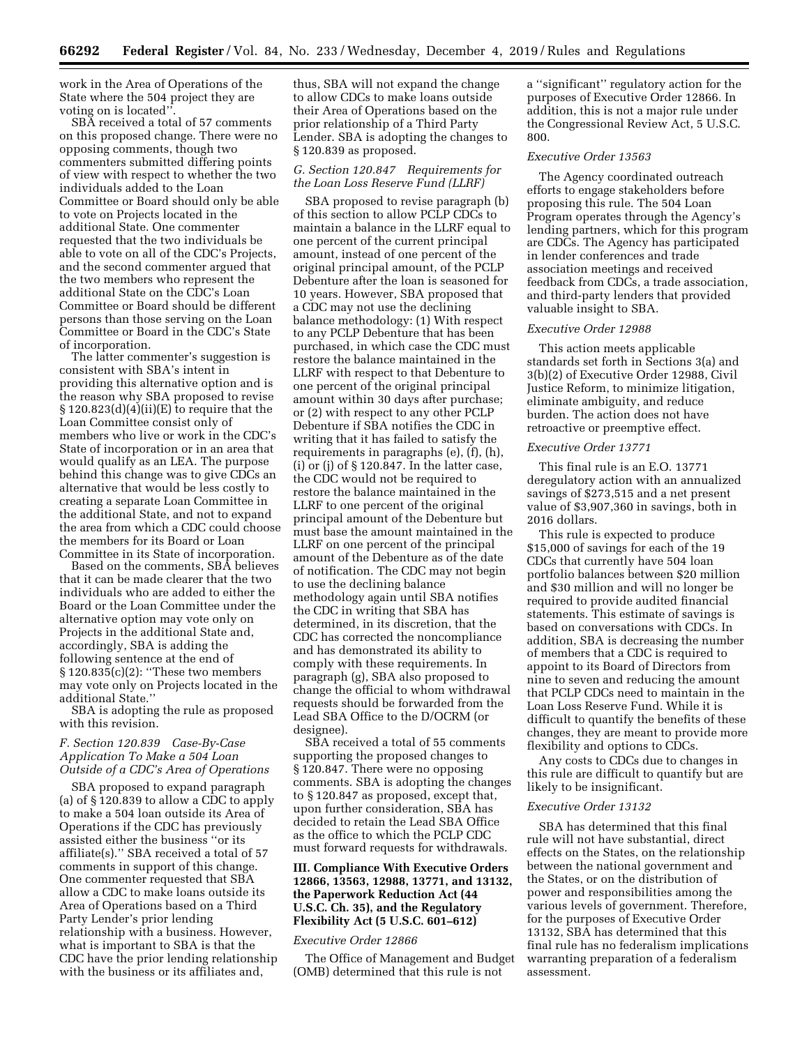work in the Area of Operations of the State where the 504 project they are voting on is located''.

SBA received a total of 57 comments on this proposed change. There were no opposing comments, though two commenters submitted differing points of view with respect to whether the two individuals added to the Loan Committee or Board should only be able to vote on Projects located in the additional State. One commenter requested that the two individuals be able to vote on all of the CDC's Projects, and the second commenter argued that the two members who represent the additional State on the CDC's Loan Committee or Board should be different persons than those serving on the Loan Committee or Board in the CDC's State of incorporation.

The latter commenter's suggestion is consistent with SBA's intent in providing this alternative option and is the reason why SBA proposed to revise  $\S 120.823(d)(4)(ii)(E)$  to require that the Loan Committee consist only of members who live or work in the CDC's State of incorporation or in an area that would qualify as an LEA. The purpose behind this change was to give CDCs an alternative that would be less costly to creating a separate Loan Committee in the additional State, and not to expand the area from which a CDC could choose the members for its Board or Loan Committee in its State of incorporation.

Based on the comments, SBA believes that it can be made clearer that the two individuals who are added to either the Board or the Loan Committee under the alternative option may vote only on Projects in the additional State and, accordingly, SBA is adding the following sentence at the end of § 120.835(c)(2): ''These two members may vote only on Projects located in the additional State.''

SBA is adopting the rule as proposed with this revision.

#### *F. Section 120.839 Case-By-Case Application To Make a 504 Loan Outside of a CDC's Area of Operations*

SBA proposed to expand paragraph (a) of § 120.839 to allow a CDC to apply to make a 504 loan outside its Area of Operations if the CDC has previously assisted either the business ''or its affiliate(s).'' SBA received a total of 57 comments in support of this change. One commenter requested that SBA allow a CDC to make loans outside its Area of Operations based on a Third Party Lender's prior lending relationship with a business. However, what is important to SBA is that the CDC have the prior lending relationship with the business or its affiliates and,

thus, SBA will not expand the change to allow CDCs to make loans outside their Area of Operations based on the prior relationship of a Third Party Lender. SBA is adopting the changes to § 120.839 as proposed.

#### *G. Section 120.847 Requirements for the Loan Loss Reserve Fund (LLRF)*

SBA proposed to revise paragraph (b) of this section to allow PCLP CDCs to maintain a balance in the LLRF equal to one percent of the current principal amount, instead of one percent of the original principal amount, of the PCLP Debenture after the loan is seasoned for 10 years. However, SBA proposed that a CDC may not use the declining balance methodology: (1) With respect to any PCLP Debenture that has been purchased, in which case the CDC must restore the balance maintained in the LLRF with respect to that Debenture to one percent of the original principal amount within 30 days after purchase; or (2) with respect to any other PCLP Debenture if SBA notifies the CDC in writing that it has failed to satisfy the requirements in paragraphs (e), (f), (h), (i) or (j) of  $\S 120.847$ . In the latter case, the CDC would not be required to restore the balance maintained in the LLRF to one percent of the original principal amount of the Debenture but must base the amount maintained in the LLRF on one percent of the principal amount of the Debenture as of the date of notification. The CDC may not begin to use the declining balance methodology again until SBA notifies the CDC in writing that SBA has determined, in its discretion, that the CDC has corrected the noncompliance and has demonstrated its ability to comply with these requirements. In paragraph (g), SBA also proposed to change the official to whom withdrawal requests should be forwarded from the Lead SBA Office to the D/OCRM (or designee).

SBA received a total of 55 comments supporting the proposed changes to § 120.847. There were no opposing comments. SBA is adopting the changes to § 120.847 as proposed, except that, upon further consideration, SBA has decided to retain the Lead SBA Office as the office to which the PCLP CDC must forward requests for withdrawals.

### **III. Compliance With Executive Orders 12866, 13563, 12988, 13771, and 13132, the Paperwork Reduction Act (44 U.S.C. Ch. 35), and the Regulatory Flexibility Act (5 U.S.C. 601–612)**

#### *Executive Order 12866*

The Office of Management and Budget (OMB) determined that this rule is not

a ''significant'' regulatory action for the purposes of Executive Order 12866. In addition, this is not a major rule under the Congressional Review Act, 5 U.S.C. 800.

#### *Executive Order 13563*

The Agency coordinated outreach efforts to engage stakeholders before proposing this rule. The 504 Loan Program operates through the Agency's lending partners, which for this program are CDCs. The Agency has participated in lender conferences and trade association meetings and received feedback from CDCs, a trade association, and third-party lenders that provided valuable insight to SBA.

#### *Executive Order 12988*

This action meets applicable standards set forth in Sections 3(a) and 3(b)(2) of Executive Order 12988, Civil Justice Reform, to minimize litigation, eliminate ambiguity, and reduce burden. The action does not have retroactive or preemptive effect.

#### *Executive Order 13771*

This final rule is an E.O. 13771 deregulatory action with an annualized savings of \$273,515 and a net present value of \$3,907,360 in savings, both in 2016 dollars.

This rule is expected to produce \$15,000 of savings for each of the 19 CDCs that currently have 504 loan portfolio balances between \$20 million and \$30 million and will no longer be required to provide audited financial statements. This estimate of savings is based on conversations with CDCs. In addition, SBA is decreasing the number of members that a CDC is required to appoint to its Board of Directors from nine to seven and reducing the amount that PCLP CDCs need to maintain in the Loan Loss Reserve Fund. While it is difficult to quantify the benefits of these changes, they are meant to provide more flexibility and options to CDCs.

Any costs to CDCs due to changes in this rule are difficult to quantify but are likely to be insignificant.

#### *Executive Order 13132*

SBA has determined that this final rule will not have substantial, direct effects on the States, on the relationship between the national government and the States, or on the distribution of power and responsibilities among the various levels of government. Therefore, for the purposes of Executive Order 13132, SBA has determined that this final rule has no federalism implications warranting preparation of a federalism assessment.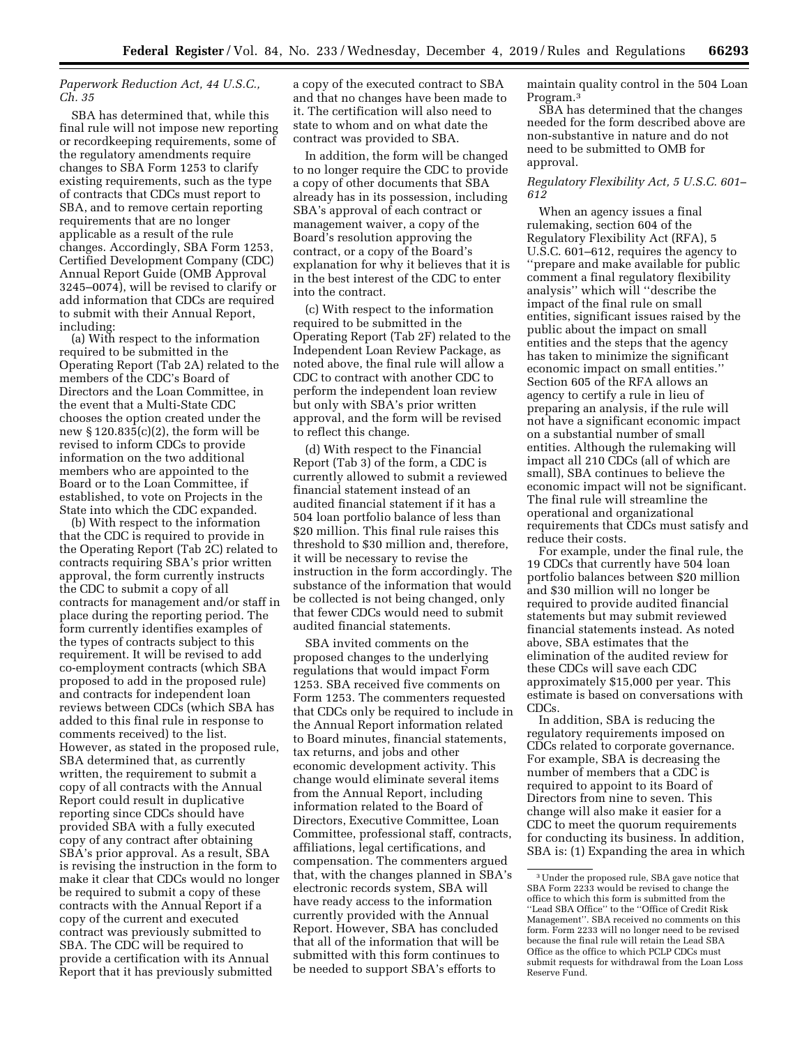#### *Paperwork Reduction Act, 44 U.S.C., Ch. 35*

SBA has determined that, while this final rule will not impose new reporting or recordkeeping requirements, some of the regulatory amendments require changes to SBA Form 1253 to clarify existing requirements, such as the type of contracts that CDCs must report to SBA, and to remove certain reporting requirements that are no longer applicable as a result of the rule changes. Accordingly, SBA Form 1253, Certified Development Company (CDC) Annual Report Guide (OMB Approval 3245–0074), will be revised to clarify or add information that CDCs are required to submit with their Annual Report, including:

(a) With respect to the information required to be submitted in the Operating Report (Tab 2A) related to the members of the CDC's Board of Directors and the Loan Committee, in the event that a Multi-State CDC chooses the option created under the new § 120.835(c)(2), the form will be revised to inform CDCs to provide information on the two additional members who are appointed to the Board or to the Loan Committee, if established, to vote on Projects in the State into which the CDC expanded.

(b) With respect to the information that the CDC is required to provide in the Operating Report (Tab 2C) related to contracts requiring SBA's prior written approval, the form currently instructs the CDC to submit a copy of all contracts for management and/or staff in place during the reporting period. The form currently identifies examples of the types of contracts subject to this requirement. It will be revised to add co-employment contracts (which SBA proposed to add in the proposed rule) and contracts for independent loan reviews between CDCs (which SBA has added to this final rule in response to comments received) to the list. However, as stated in the proposed rule, SBA determined that, as currently written, the requirement to submit a copy of all contracts with the Annual Report could result in duplicative reporting since CDCs should have provided SBA with a fully executed copy of any contract after obtaining SBA's prior approval. As a result, SBA is revising the instruction in the form to make it clear that CDCs would no longer be required to submit a copy of these contracts with the Annual Report if a copy of the current and executed contract was previously submitted to SBA. The CDC will be required to provide a certification with its Annual Report that it has previously submitted

a copy of the executed contract to SBA and that no changes have been made to it. The certification will also need to state to whom and on what date the contract was provided to SBA.

In addition, the form will be changed to no longer require the CDC to provide a copy of other documents that SBA already has in its possession, including SBA's approval of each contract or management waiver, a copy of the Board's resolution approving the contract, or a copy of the Board's explanation for why it believes that it is in the best interest of the CDC to enter into the contract.

(c) With respect to the information required to be submitted in the Operating Report (Tab 2F) related to the Independent Loan Review Package, as noted above, the final rule will allow a CDC to contract with another CDC to perform the independent loan review but only with SBA's prior written approval, and the form will be revised to reflect this change.

(d) With respect to the Financial Report (Tab 3) of the form, a CDC is currently allowed to submit a reviewed financial statement instead of an audited financial statement if it has a 504 loan portfolio balance of less than \$20 million. This final rule raises this threshold to \$30 million and, therefore, it will be necessary to revise the instruction in the form accordingly. The substance of the information that would be collected is not being changed, only that fewer CDCs would need to submit audited financial statements.

SBA invited comments on the proposed changes to the underlying regulations that would impact Form 1253. SBA received five comments on Form 1253. The commenters requested that CDCs only be required to include in the Annual Report information related to Board minutes, financial statements, tax returns, and jobs and other economic development activity. This change would eliminate several items from the Annual Report, including information related to the Board of Directors, Executive Committee, Loan Committee, professional staff, contracts, affiliations, legal certifications, and compensation. The commenters argued that, with the changes planned in SBA's electronic records system, SBA will have ready access to the information currently provided with the Annual Report. However, SBA has concluded that all of the information that will be submitted with this form continues to be needed to support SBA's efforts to

maintain quality control in the 504 Loan Program.3

SBA has determined that the changes needed for the form described above are non-substantive in nature and do not need to be submitted to OMB for approval.

#### *Regulatory Flexibility Act, 5 U.S.C. 601– 612*

When an agency issues a final rulemaking, section 604 of the Regulatory Flexibility Act (RFA), 5 U.S.C. 601–612, requires the agency to ''prepare and make available for public comment a final regulatory flexibility analysis'' which will ''describe the impact of the final rule on small entities, significant issues raised by the public about the impact on small entities and the steps that the agency has taken to minimize the significant economic impact on small entities.'' Section 605 of the RFA allows an agency to certify a rule in lieu of preparing an analysis, if the rule will not have a significant economic impact on a substantial number of small entities. Although the rulemaking will impact all 210 CDCs (all of which are small), SBA continues to believe the economic impact will not be significant. The final rule will streamline the operational and organizational requirements that CDCs must satisfy and reduce their costs.

For example, under the final rule, the 19 CDCs that currently have 504 loan portfolio balances between \$20 million and \$30 million will no longer be required to provide audited financial statements but may submit reviewed financial statements instead. As noted above, SBA estimates that the elimination of the audited review for these CDCs will save each CDC approximately \$15,000 per year. This estimate is based on conversations with CDCs.

In addition, SBA is reducing the regulatory requirements imposed on CDCs related to corporate governance. For example, SBA is decreasing the number of members that a CDC is required to appoint to its Board of Directors from nine to seven. This change will also make it easier for a CDC to meet the quorum requirements for conducting its business. In addition, SBA is: (1) Expanding the area in which

<sup>3</sup>Under the proposed rule, SBA gave notice that SBA Form 2233 would be revised to change the office to which this form is submitted from the ''Lead SBA Office'' to the ''Office of Credit Risk Management''. SBA received no comments on this form. Form 2233 will no longer need to be revised because the final rule will retain the Lead SBA Office as the office to which PCLP CDCs must submit requests for withdrawal from the Loan Loss Reserve Fund.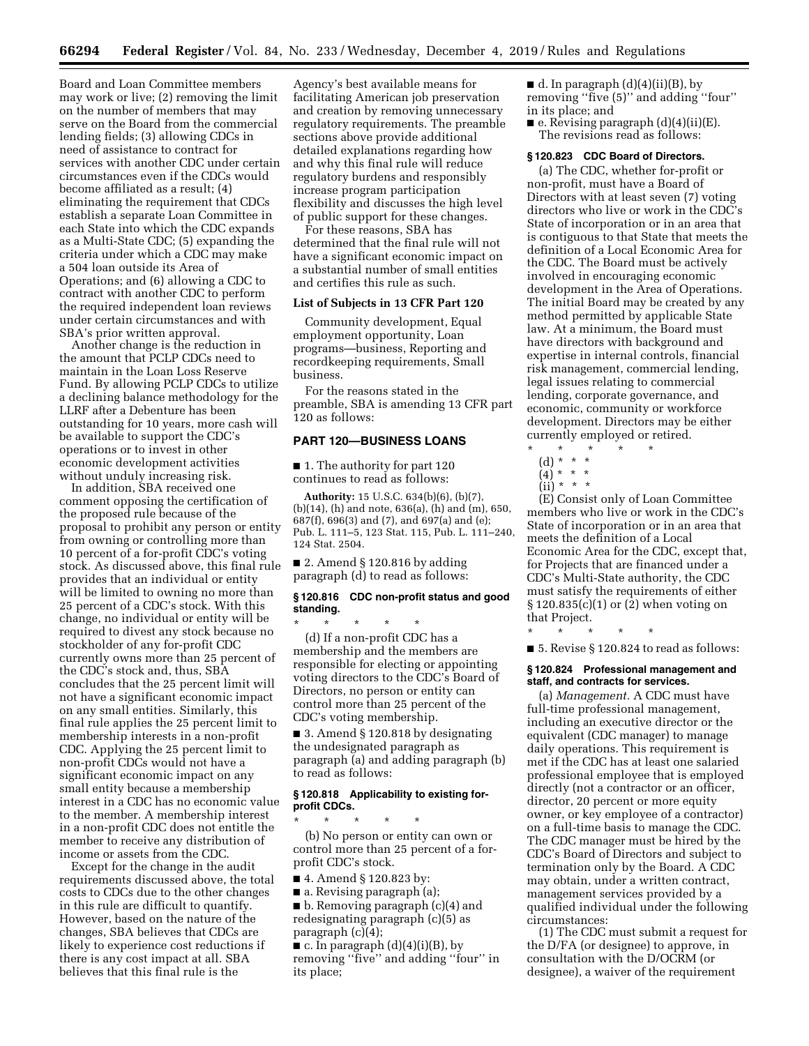Board and Loan Committee members may work or live; (2) removing the limit on the number of members that may serve on the Board from the commercial lending fields; (3) allowing CDCs in need of assistance to contract for services with another CDC under certain circumstances even if the CDCs would become affiliated as a result; (4) eliminating the requirement that CDCs establish a separate Loan Committee in each State into which the CDC expands as a Multi-State CDC; (5) expanding the criteria under which a CDC may make a 504 loan outside its Area of Operations; and (6) allowing a CDC to contract with another CDC to perform the required independent loan reviews under certain circumstances and with SBA's prior written approval.

Another change is the reduction in the amount that PCLP CDCs need to maintain in the Loan Loss Reserve Fund. By allowing PCLP CDCs to utilize a declining balance methodology for the LLRF after a Debenture has been outstanding for 10 years, more cash will be available to support the CDC's operations or to invest in other economic development activities without unduly increasing risk.

In addition, SBA received one comment opposing the certification of the proposed rule because of the proposal to prohibit any person or entity from owning or controlling more than 10 percent of a for-profit CDC's voting stock. As discussed above, this final rule provides that an individual or entity will be limited to owning no more than 25 percent of a CDC's stock. With this change, no individual or entity will be required to divest any stock because no stockholder of any for-profit CDC currently owns more than 25 percent of the CDC's stock and, thus, SBA concludes that the 25 percent limit will not have a significant economic impact on any small entities. Similarly, this final rule applies the 25 percent limit to membership interests in a non-profit CDC. Applying the 25 percent limit to non-profit CDCs would not have a significant economic impact on any small entity because a membership interest in a CDC has no economic value to the member. A membership interest in a non-profit CDC does not entitle the member to receive any distribution of income or assets from the CDC.

Except for the change in the audit requirements discussed above, the total costs to CDCs due to the other changes in this rule are difficult to quantify. However, based on the nature of the changes, SBA believes that CDCs are likely to experience cost reductions if there is any cost impact at all. SBA believes that this final rule is the

Agency's best available means for facilitating American job preservation and creation by removing unnecessary regulatory requirements. The preamble sections above provide additional detailed explanations regarding how and why this final rule will reduce regulatory burdens and responsibly increase program participation flexibility and discusses the high level of public support for these changes.

For these reasons, SBA has determined that the final rule will not have a significant economic impact on a substantial number of small entities and certifies this rule as such.

# **List of Subjects in 13 CFR Part 120**

Community development, Equal employment opportunity, Loan programs—business, Reporting and recordkeeping requirements, Small business.

For the reasons stated in the preamble, SBA is amending 13 CFR part 120 as follows:

# **PART 120—BUSINESS LOANS**

■ 1. The authority for part 120 continues to read as follows:

**Authority:** 15 U.S.C. 634(b)(6), (b)(7), (b)(14), (h) and note, 636(a), (h) and (m), 650, 687(f), 696(3) and (7), and 697(a) and (e); Pub. L. 111–5, 123 Stat. 115, Pub. L. 111–240, 124 Stat. 2504.

■ 2. Amend § 120.816 by adding paragraph (d) to read as follows:

#### **§ 120.816 CDC non-profit status and good standing.**

\* \* \* \* \* (d) If a non-profit CDC has a membership and the members are responsible for electing or appointing voting directors to the CDC's Board of Directors, no person or entity can control more than 25 percent of the CDC's voting membership.

■ 3. Amend § 120.818 by designating the undesignated paragraph as paragraph (a) and adding paragraph (b) to read as follows:

#### **§ 120.818 Applicability to existing forprofit CDCs.**

\* \* \* \* \* (b) No person or entity can own or control more than 25 percent of a forprofit CDC's stock.

■ 4. Amend § 120.823 by:

■ a. Revising paragraph (a); ■ b. Removing paragraph (c)(4) and redesignating paragraph (c)(5) as paragraph (c)(4);

 $\blacksquare$  c. In paragraph (d)(4)(i)(B), by removing ''five'' and adding ''four'' in its place;

 $\blacksquare$  d. In paragraph (d)(4)(ii)(B), by removing ''five (5)'' and adding ''four'' in its place; and

■ e. Revising paragraph (d)(4)(ii)(E). The revisions read as follows:

#### **§ 120.823 CDC Board of Directors.**

(a) The CDC, whether for-profit or non-profit, must have a Board of Directors with at least seven (7) voting directors who live or work in the CDC's State of incorporation or in an area that is contiguous to that State that meets the definition of a Local Economic Area for the CDC. The Board must be actively involved in encouraging economic development in the Area of Operations. The initial Board may be created by any method permitted by applicable State law. At a minimum, the Board must have directors with background and expertise in internal controls, financial risk management, commercial lending, legal issues relating to commercial lending, corporate governance, and economic, community or workforce development. Directors may be either currently employed or retired.

(E) Consist only of Loan Committee members who live or work in the CDC's State of incorporation or in an area that meets the definition of a Local Economic Area for the CDC, except that, for Projects that are financed under a CDC's Multi-State authority, the CDC must satisfy the requirements of either § 120.835(c)(1) or (2) when voting on that Project.

\* \* \* \* \*

 $\blacksquare$  5. Revise § 120.824 to read as follows:

#### **§ 120.824 Professional management and staff, and contracts for services.**

(a) *Management.* A CDC must have full-time professional management, including an executive director or the equivalent (CDC manager) to manage daily operations. This requirement is met if the CDC has at least one salaried professional employee that is employed directly (not a contractor or an officer, director, 20 percent or more equity owner, or key employee of a contractor) on a full-time basis to manage the CDC. The CDC manager must be hired by the CDC's Board of Directors and subject to termination only by the Board. A CDC may obtain, under a written contract, management services provided by a qualified individual under the following circumstances:

(1) The CDC must submit a request for the D/FA (or designee) to approve, in consultation with the D/OCRM (or designee), a waiver of the requirement

<sup>\* \* \* \* \*</sup>  (d) \* \* \*

<sup>(4) \* \* \*</sup>  (ii) \* \* \*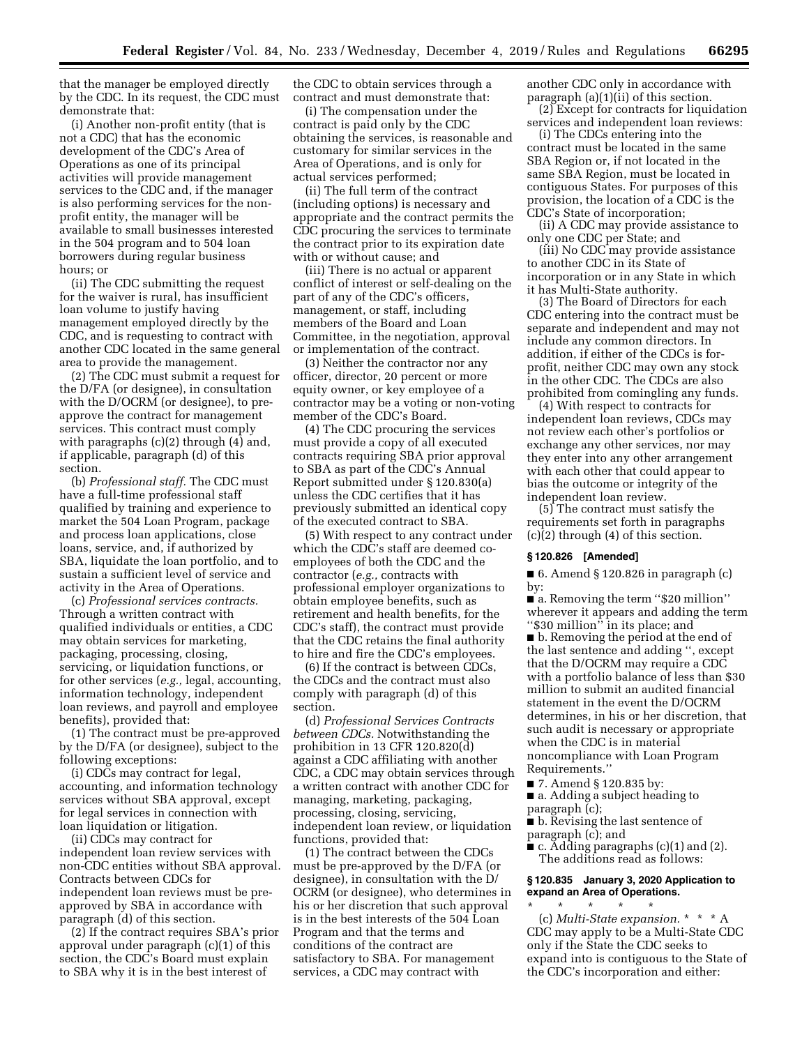that the manager be employed directly by the CDC. In its request, the CDC must demonstrate that:

(i) Another non-profit entity (that is not a CDC) that has the economic development of the CDC's Area of Operations as one of its principal activities will provide management services to the CDC and, if the manager is also performing services for the nonprofit entity, the manager will be available to small businesses interested in the 504 program and to 504 loan borrowers during regular business hours; or

(ii) The CDC submitting the request for the waiver is rural, has insufficient loan volume to justify having management employed directly by the CDC, and is requesting to contract with another CDC located in the same general area to provide the management.

(2) The CDC must submit a request for the D/FA (or designee), in consultation with the D/OCRM (or designee), to preapprove the contract for management services. This contract must comply with paragraphs (c)(2) through (4) and, if applicable, paragraph (d) of this section.

(b) *Professional staff.* The CDC must have a full-time professional staff qualified by training and experience to market the 504 Loan Program, package and process loan applications, close loans, service, and, if authorized by SBA, liquidate the loan portfolio, and to sustain a sufficient level of service and activity in the Area of Operations.

(c) *Professional services contracts.*  Through a written contract with qualified individuals or entities, a CDC may obtain services for marketing, packaging, processing, closing, servicing, or liquidation functions, or for other services (*e.g.,* legal, accounting, information technology, independent loan reviews, and payroll and employee benefits), provided that:

(1) The contract must be pre-approved by the D/FA (or designee), subject to the following exceptions:

(i) CDCs may contract for legal, accounting, and information technology services without SBA approval, except for legal services in connection with loan liquidation or litigation.

(ii) CDCs may contract for independent loan review services with non-CDC entities without SBA approval. Contracts between CDCs for independent loan reviews must be preapproved by SBA in accordance with paragraph (d) of this section.

(2) If the contract requires SBA's prior approval under paragraph (c)(1) of this section, the CDC's Board must explain to SBA why it is in the best interest of

the CDC to obtain services through a contract and must demonstrate that:

(i) The compensation under the contract is paid only by the CDC obtaining the services, is reasonable and customary for similar services in the Area of Operations, and is only for actual services performed;

(ii) The full term of the contract (including options) is necessary and appropriate and the contract permits the CDC procuring the services to terminate the contract prior to its expiration date with or without cause; and

(iii) There is no actual or apparent conflict of interest or self-dealing on the part of any of the CDC's officers, management, or staff, including members of the Board and Loan Committee, in the negotiation, approval or implementation of the contract.

(3) Neither the contractor nor any officer, director, 20 percent or more equity owner, or key employee of a contractor may be a voting or non-voting member of the CDC's Board.

(4) The CDC procuring the services must provide a copy of all executed contracts requiring SBA prior approval to SBA as part of the CDC's Annual Report submitted under § 120.830(a) unless the CDC certifies that it has previously submitted an identical copy of the executed contract to SBA.

(5) With respect to any contract under which the CDC's staff are deemed coemployees of both the CDC and the contractor (*e.g.,* contracts with professional employer organizations to obtain employee benefits, such as retirement and health benefits, for the CDC's staff), the contract must provide that the CDC retains the final authority to hire and fire the CDC's employees.

(6) If the contract is between CDCs, the CDCs and the contract must also comply with paragraph (d) of this section.

(d) *Professional Services Contracts between CDCs.* Notwithstanding the prohibition in 13 CFR 120.820(d) against a CDC affiliating with another CDC, a CDC may obtain services through a written contract with another CDC for managing, marketing, packaging, processing, closing, servicing, independent loan review, or liquidation functions, provided that:

(1) The contract between the CDCs must be pre-approved by the D/FA (or designee), in consultation with the D/ OCRM (or designee), who determines in his or her discretion that such approval is in the best interests of the 504 Loan Program and that the terms and conditions of the contract are satisfactory to SBA. For management services, a CDC may contract with

another CDC only in accordance with paragraph (a)(1)(ii) of this section. (2) Except for contracts for liquidation

services and independent loan reviews:

(i) The CDCs entering into the contract must be located in the same SBA Region or, if not located in the same SBA Region, must be located in contiguous States. For purposes of this provision, the location of a CDC is the CDC's State of incorporation;

(ii) A CDC may provide assistance to only one CDC per State; and

(iii) No CDC may provide assistance to another CDC in its State of incorporation or in any State in which it has Multi-State authority.

(3) The Board of Directors for each CDC entering into the contract must be separate and independent and may not include any common directors. In addition, if either of the CDCs is forprofit, neither CDC may own any stock in the other CDC. The CDCs are also prohibited from comingling any funds.

(4) With respect to contracts for independent loan reviews, CDCs may not review each other's portfolios or exchange any other services, nor may they enter into any other arrangement with each other that could appear to bias the outcome or integrity of the independent loan review.

(5) The contract must satisfy the requirements set forth in paragraphs (c)(2) through (4) of this section.

#### **§ 120.826 [Amended]**

 $\blacksquare$  6. Amend § 120.826 in paragraph (c) by:

■ a. Removing the term "\$20 million" wherever it appears and adding the term ''\$30 million'' in its place; and

■ b. Removing the period at the end of the last sentence and adding '', except that the D/OCRM may require a CDC with a portfolio balance of less than \$30 million to submit an audited financial statement in the event the D/OCRM determines, in his or her discretion, that such audit is necessary or appropriate when the CDC is in material noncompliance with Loan Program Requirements.''

- 7. Amend § 120.835 by:
- a. Adding a subject heading to paragraph (c);
- b. Revising the last sentence of paragraph (c); and
- $\blacksquare$  c. Adding paragraphs (c)(1) and (2). The additions read as follows:

#### **§ 120.835 January 3, 2020 Application to expand an Area of Operations.**

\* \* \* \* \* (c) *Multi-State expansion.* \* \* \* A CDC may apply to be a Multi-State CDC only if the State the CDC seeks to expand into is contiguous to the State of the CDC's incorporation and either: